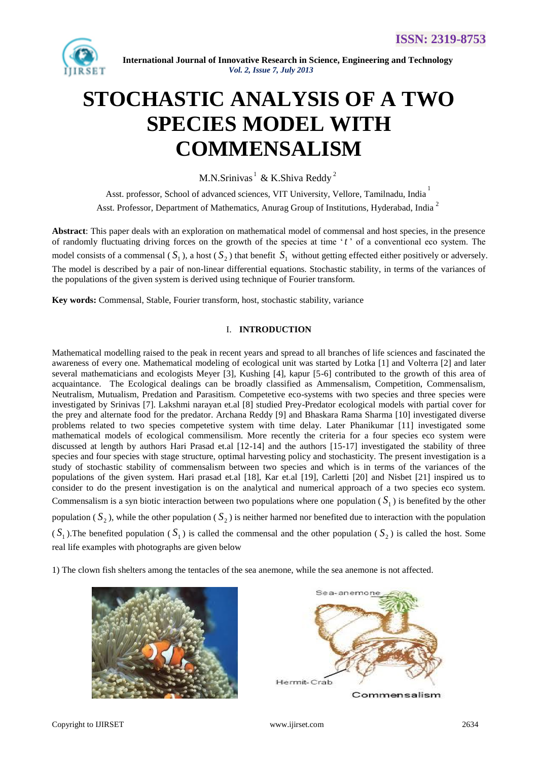

# **STOCHASTIC ANALYSIS OF A TWO SPECIES MODEL WITH COMMENSALISM**

M.N.Srinivas<sup>1</sup> & K.Shiva Reddy<sup>2</sup>

Asst. professor, School of advanced sciences, VIT University, Vellore, Tamilnadu, India<sup>1</sup> Asst. Professor, Department of Mathematics, Anurag Group of Institutions, Hyderabad, India<sup>2</sup>

**Abstract**: This paper deals with an exploration on mathematical model of commensal and host species, in the presence of randomly fluctuating driving forces on the growth of the species at time " *t* " of a conventional eco system. The model consists of a commensal  $(S_1)$ , a host  $(S_2)$  that benefit  $S_1$  without getting effected either positively or adversely. The model is described by a pair of non-linear differential equations. Stochastic stability, in terms of the variances of the populations of the given system is derived using technique of Fourier transform.

**Key words:** Commensal, Stable, Fourier transform, host, stochastic stability, variance

# I. **INTRODUCTION**

Mathematical modelling raised to the peak in recent years and spread to all branches of life sciences and fascinated the awareness of every one. Mathematical modeling of ecological unit was started by Lotka [1] and Volterra [2] and later several mathematicians and ecologists Meyer [3], Kushing [4], kapur [5-6] contributed to the growth of this area of acquaintance. The Ecological dealings can be broadly classified as Ammensalism, Competition, Commensalism, Neutralism, Mutualism, Predation and Parasitism. Competetive eco-systems with two species and three species were investigated by Srinivas [7]. Lakshmi narayan et.al [8] studied Prey-Predator ecological models with partial cover for the prey and alternate food for the predator. Archana Reddy [9] and Bhaskara Rama Sharma [10] investigated diverse problems related to two species competetive system with time delay. Later Phanikumar [11] investigated some mathematical models of ecological commensilism. More recently the criteria for a four species eco system were discussed at length by authors Hari Prasad et.al [12-14] and the authors [15-17] investigated the stability of three species and four species with stage structure, optimal harvesting policy and stochasticity. The present investigation is a study of stochastic stability of commensalism between two species and which is in terms of the variances of the populations of the given system. Hari prasad et.al [18], Kar et.al [19], Carletti [20] and Nisbet [21] inspired us to consider to do the present investigation is on the analytical and numerical approach of a two species eco system. Commensalism is a syn biotic interaction between two populations where one population  $(S_1)$  is benefited by the other population  $(S_2)$ , while the other population  $(S_2)$  is neither harmed nor benefited due to interaction with the population  $(S_1)$ . The benefited population  $(S_1)$  is called the commensal and the other population  $(S_2)$  is called the host. Some real life examples with photographs are given below

1) The clown fish shelters among the tentacles of the sea anemone, while the sea anemone is not affected.





Commensalism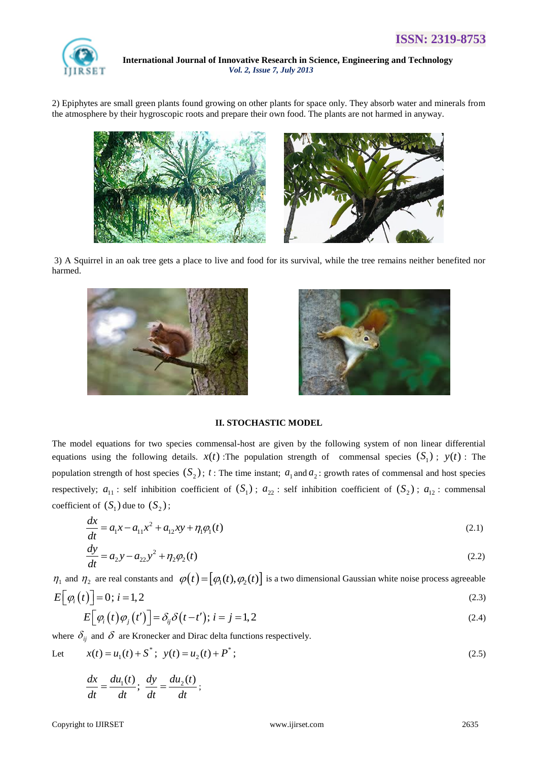

2) Epiphytes are small green plants found growing on other plants for space only. They absorb water and minerals from the atmosphere by their hygroscopic roots and prepare their own food. The plants are not harmed in anyway.



3) A Squirrel in an oak tree gets a place to live and food for its survival, while the tree remains neither benefited nor harmed.





# **II. STOCHASTIC MODEL**

The model equations for two species commensal-host are given by the following system of non linear differential equations using the following details.  $x(t)$ : The population strength of commensal species  $(S_1)$ ;  $y(t)$ : The population strength of host species  $(S_2)$ ;  $t$ : The time instant;  $a_1$  and  $a_2$ : growth rates of commensal and host species respectively;  $a_{11}$ : self inhibition coefficient of  $(S_1)$ ;  $a_{22}$ : self inhibition coefficient of  $(S_2)$ ;  $a_{12}$ : commensal coefficient of  $(S_1)$  due to  $(S_2)$ ;

$$
\frac{dx}{dt} = a_1 x - a_{11} x^2 + a_{12} xy + \eta_1 \varphi_1(t)
$$
\n(2.1)

$$
\frac{dy}{dt} = a_2 y - a_{22} y^2 + \eta_2 \varphi_2(t)
$$
\n(2.2)

 $\eta_1$  and  $\eta_2$  are real constants and  $\varphi(t) = [\varphi_1(t), \varphi_2(t)]$  is a two dimensional Gaussian white noise process agreeable

$$
E\Big[\varphi_i\big(t\big)\Big] = 0; \ i = 1, 2
$$
\n
$$
E\Big[\varphi_i\big(t\big)\varphi_j\big(t'\big)\Big] = \delta_{ij}\delta\big(t - t'\big); \ i = j = 1, 2
$$
\n
$$
(2.3)
$$
\n
$$
(2.4)
$$

where  $\delta_{ij}$  and  $\delta$  are Kronecker and Dirac delta functions respectively.

Let 
$$
x(t) = u_1(t) + S^*
$$
;  $y(t) = u_2(t) + P^*$ ; (2.5)

$$
\frac{dx}{dt} = \frac{du_1(t)}{dt}; \frac{dy}{dt} = \frac{du_2(t)}{dt};
$$

Copyright to IJIRSET [www.ijirset.com](http://www.ijirset.com/) 2635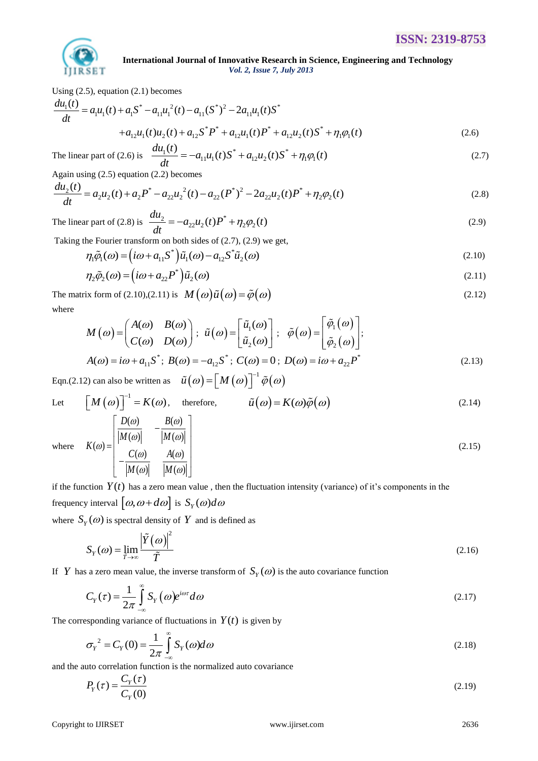

Using (2.5), equation (2.1) becomes  
\n
$$
\frac{du_1(t)}{dt} = a_1u_1(t) + a_1S^* - a_{11}u_1^2(t) - a_{11}(S^*)^2 - 2a_{11}u_1(t)S^*
$$
\n
$$
+ a_{12}u_1(t)u_2(t) + a_{12}S^*P^* + a_{12}u_1(t)P^* + a_{12}u_2(t)S^* + \eta_1\phi_1(t)
$$
\n(2.6)

$$
+a_{12}u_1(t)u_2(t) + a_{12}S^*P^* + a_{12}u_1(t)P^* + a_{12}u_2(t)S^* + \eta_1\varphi_1(t)
$$
\n
$$
\text{The linear part of (2.6) is } \frac{du_1(t)}{dt} = -a_{11}u_1(t)S^* + a_{12}u_2(t)S^* + \eta_1\varphi_1(t) \tag{2.7}
$$

The linear part of (2.6) is 
$$
\frac{a u_1(t)}{dt} = -a_{11} u_1(t) S^* + a_{12} u_2(t) S^* + \eta_1 \varphi_1(t)
$$
(2.7)  
Again using (2.5) equation (2.2) becomes  

$$
\frac{d u_2(t)}{dt} = a_2 u_2(t) + a_2 P^* - a_{22} u_2^2(t) - a_{22} (P^*)^2 - 2a_{22} u_2(t) P^* + \eta_2 \varphi_2(t)
$$
(2.8)

The linear part of (2.8) is 
$$
\frac{du_2}{dt} = -a_{22}u_2(t)P^* + \eta_2\varphi_2(t)
$$
 (2.9)

Taking the Fourier transform on both sides of (2.7), (2.9) we get,  
\n
$$
\eta_1 \tilde{\varphi}_1(\omega) = \left( i\omega + a_{11} S^* \right) \tilde{\mu}_1(\omega) - a_{12} S^* \tilde{\mu}_2(\omega)
$$
\n(2.10)

$$
\eta_2 \tilde{\varphi}_2(\omega) = (i\omega + a_{22}P^*)\tilde{u}_2(\omega) \tag{2.11}
$$

The matrix form of (2.10),(2.11) is  $M(\omega)\tilde{u}(\omega) = \tilde{\phi}(\omega)$  $\tilde{\rho}(\omega)$  (2.12) where

$$
M(\omega) = \begin{pmatrix} A(\omega) & B(\omega) \\ C(\omega) & D(\omega) \end{pmatrix}; \tilde{u}(\omega) = \begin{bmatrix} \tilde{u}_1(\omega) \\ \tilde{u}_2(\omega) \end{bmatrix}; \tilde{\varphi}(\omega) = \begin{bmatrix} \tilde{\varphi}_1(\omega) \\ \tilde{\varphi}_2(\omega) \end{bmatrix};
$$
  

$$
A(\omega) = i\omega + a_{11}S^*; B(\omega) = -a_{12}S^*; C(\omega) = 0; D(\omega) = i\omega + a_{22}P^*
$$
 (2.13)

Eqn.(2.12) can also be written as  $\tilde{u}(\omega) = [M(\omega)]^{-1} \tilde{\varphi}(\omega)$ 

Let 
$$
\begin{bmatrix} M(\omega) \end{bmatrix}^{-1} = K(\omega)
$$
, therefore,  $\tilde{u}(\omega) = K(\omega)\tilde{\varphi}(\omega)$  (2.14)  
 $\begin{bmatrix} D(\omega) & B(\omega) \end{bmatrix}$ 

where 
$$
K(\omega) = \begin{bmatrix} \frac{D(\omega)}{|M(\omega)|} & -\frac{B(\omega)}{|M(\omega)|} \\ -\frac{C(\omega)}{|M(\omega)|} & \frac{A(\omega)}{|M(\omega)|} \end{bmatrix}
$$

if the function  $Y(t)$  has a zero mean value, then the fluctuation intensity (variance) of it's components in the frequency interval  $\left[\omega, \omega + d\omega\right]$  is  $S_Y(\omega) d\omega$ 

where  $S_Y(\omega)$  is spectral density of Y and is defined as

$$
S_Y(\omega) = \lim_{\tilde{T} \to \infty} \frac{\left| \tilde{Y}(\omega) \right|^2}{\tilde{T}} \tag{2.16}
$$

If Y has a zero mean value, the inverse transform of  $S_Y(\omega)$  is the auto covariance function

$$
C_Y(\tau) = \frac{1}{2\pi} \int_{-\infty}^{\infty} S_Y(\omega) e^{i\omega \tau} d\omega
$$
\n(2.17)

The corresponding variance of fluctuations in  $Y(t)$  is given by

$$
\sigma_Y^2 = C_Y(0) = \frac{1}{2\pi} \int_{-\infty}^{\infty} S_Y(\omega) d\omega \tag{2.18}
$$

and the auto correlation function is the normalized auto covariance

$$
P_Y(\tau) = \frac{C_Y(\tau)}{C_Y(0)}\tag{2.19}
$$

(2.15)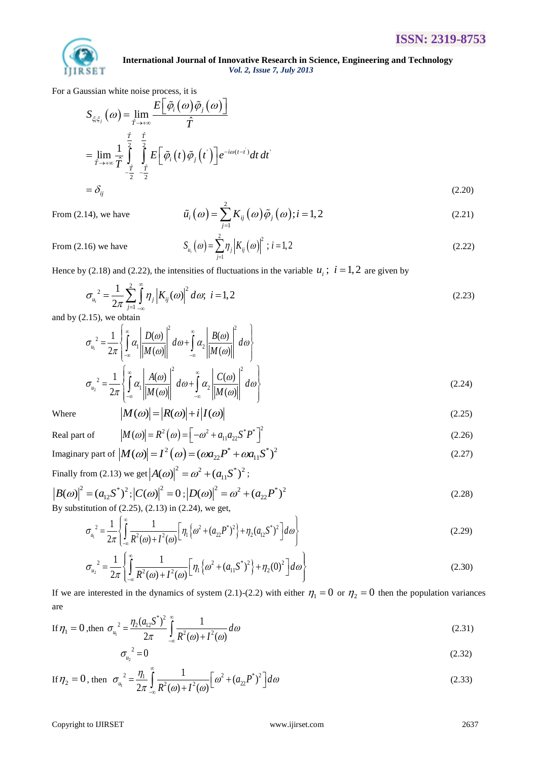

For a Gaussian white noise process, it is  
\n
$$
S_{\xi_i\xi_j}(\omega) = \lim_{\hat{T} \to +\infty} \frac{E\left[\tilde{\varphi}_i(\omega)\tilde{\varphi}_j(\omega)\right]}{\hat{T}}
$$
\n
$$
= \lim_{\hat{T} \to +\infty} \frac{1}{\hat{T}} \int_{-\hat{T}}^{\hat{T}} \frac{\hat{\tau}}{\hat{\tau}} \frac{\hat{\tau}}{\hat{\tau}} E\left[\tilde{\varphi}_i(t)\tilde{\varphi}_j(t)\right] e^{-i\omega(t-t)} dt dt
$$
\n
$$
= \delta_{ij} \tag{2.20}
$$

$$
\tilde{u}_i(\omega) = \sum_{j=1}^2 K_{ij}(\omega)\tilde{\varphi}_j(\omega); i = 1, 2
$$
\n(2.21)

From (2.14), we have

$$
S_{u_i}(\omega) = \sum_{j=1}^{2} \eta_j \left| K_{ij}(\omega) \right|^2 ; i = 1, 2
$$
 (2.22)

From (2.16) we have

Hence by (2.18) and (2.22), the intensities of fluctuations in the variable  $u_i$ ;  $i = 1, 2$  are given by

$$
\sigma_{u_i}^2 = \frac{1}{2\pi} \sum_{j=1}^2 \int_{-\infty}^{\infty} \eta_j \left| K_{ij}(\omega) \right|^2 d\omega; \ i = 1, 2
$$
 (2.23)

and by (2.15), we obtain

2.15), we obtain  
\n
$$
\sigma_{u_i}^2 = \frac{1}{2\pi} \left\{ \int_{-\infty}^{\infty} \alpha_i \left| \frac{D(\omega)}{|M(\omega)|} \right|^2 d\omega + \int_{-\infty}^{\infty} \alpha_i \left| \frac{B(\omega)}{|M(\omega)|} \right|^2 d\omega \right\}
$$
\n
$$
\sigma_{u_2}^2 = \frac{1}{2\pi} \left\{ \int_{-\infty}^{\infty} \alpha_i \left| \frac{A(\omega)}{|M(\omega)|} \right|^2 d\omega + \int_{-\infty}^{\infty} \alpha_i \left| \frac{C(\omega)}{|M(\omega)|} \right|^2 d\omega \right\}
$$
\n
$$
|M(\omega)| = |R(\omega)| + i |I(\omega)| \tag{2.25}
$$

Where

Real part of 
$$
|M(\omega)| = R^2(\omega) = \left[-\omega^2 + a_{11}a_{22}S^*P^*\right]^2
$$
 (2.26)

Real part of 
$$
|M(\omega)| = K^{\circ}(\omega) = [-\omega^{\circ} + a_{11}a_{22}S \quad P]
$$
  
Imaginary part of  $|M(\omega)| = I^2(\omega) = (\omega a_{22}P^* + \omega a_{11}S^*)^2$  (2.27)

Finally from (2.13) we get  $|A(\omega)|^2 = \omega^2 + (a_{11}S^*)^2$ ;

$$
|B(\omega)|^2 = (a_{12}S^*)^2; |C(\omega)|^2 = 0; |D(\omega)|^2 = \omega^2 + (a_{22}P^*)^2
$$
  
By substitution of (2.25), (2.13) in (2.24) we get

By substitution of (2.25), (2.13) in (2.24), we get,  
\n
$$
\sigma_{u_1}^2 = \frac{1}{2\pi} \left\{ \int_{-\infty}^{\infty} \frac{1}{R^2(\omega) + I^2(\omega)} \left[ \eta_1 \left\{ \omega^2 + (a_{22}P^*)^2 \right\} + \eta_2 (a_{12}S^*)^2 \right] d\omega \right\}
$$
\n(2.29)

$$
\sigma_{u_1} = \frac{1}{2\pi} \left\{ \int_{-\infty}^{\infty} \frac{R^2(\omega) + I^2(\omega)}{R^2(\omega) + I^2(\omega)} \left[ \eta_1 \left\{ \omega^2 + (a_{11}S^*)^2 \right\} + \eta_2(0)^2 \right] d\omega \right\}
$$
\n
$$
\sigma_{u_2}^2 = \frac{1}{2\pi} \left\{ \int_{-\infty}^{\infty} \frac{1}{R^2(\omega) + I^2(\omega)} \left[ \eta_1 \left\{ \omega^2 + (a_{11}S^*)^2 \right\} + \eta_2(0)^2 \right] d\omega \right\}
$$
\n(2.30)

If we are interested in the dynamics of system (2.1)-(2.2) with either  $\eta_1 = 0$  or  $\eta_2 = 0$  then the population variances are

$$
\text{If } \eta_1 = 0 \text{, then } \sigma_{u_1}^2 = \frac{\eta_2 (a_{12} S^*)^2}{2\pi} \int_{-\infty}^{\infty} \frac{1}{R^2(\omega) + I^2(\omega)} d\omega \tag{2.31}
$$

$$
\sigma_{u_2}^2 = 0 \tag{2.32}
$$

If 
$$
\eta_2 = 0
$$
, then  $\sigma_{u_1}^2 = \frac{\eta_1}{2\pi} \int_{-\infty}^{\infty} \frac{1}{R^2(\omega) + I^2(\omega)} \left[\omega^2 + (a_{22}P^*)^2\right] d\omega$  (2.33)

### Copyright to IJIRSET [www.ijirset.com](http://www.ijirset.com/) 2637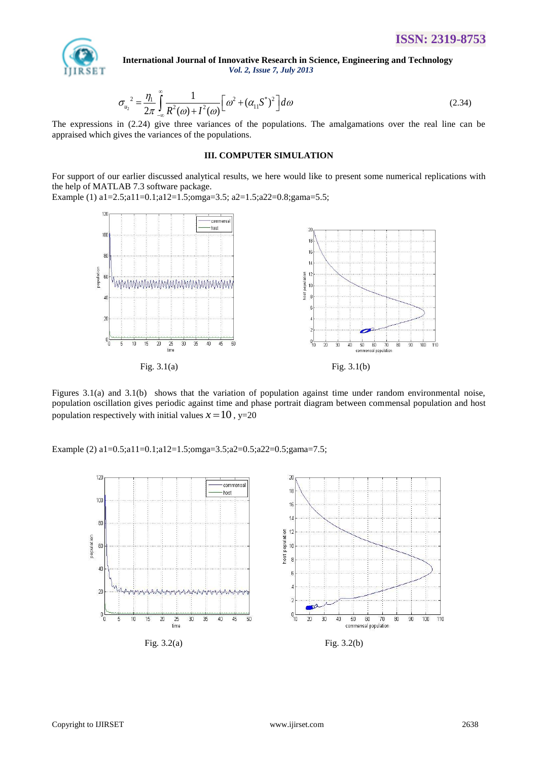

$$
\sigma_{u_2}^2 = \frac{\eta_1}{2\pi} \int_{-\infty}^{\infty} \frac{1}{R^2(\omega) + I^2(\omega)} \Big[ \omega^2 + (\alpha_{11} S^*)^2 \Big] d\omega \tag{2.34}
$$

The expressions in (2.24) give three variances of the populations. The amalgamations over the real line can be appraised which gives the variances of the populations.

# **III. COMPUTER SIMULATION**

For support of our earlier discussed analytical results, we here would like to present some numerical replications with the help of MATLAB 7.3 software package.

Example (1) a1=2.5;a11=0.1;a12=1.5;omga=3.5; a2=1.5;a22=0.8;gama=5.5;



Figures 3.1(a) and 3.1(b) shows that the variation of population against time under random environmental noise, population oscillation gives periodic against time and phase portrait diagram between commensal population and host population respectively with initial values  $x = 10$ ,  $y=20$ 

Example (2) a1=0.5;a11=0.1;a12=1.5;omga=3.5;a2=0.5;a22=0.5;gama=7.5;

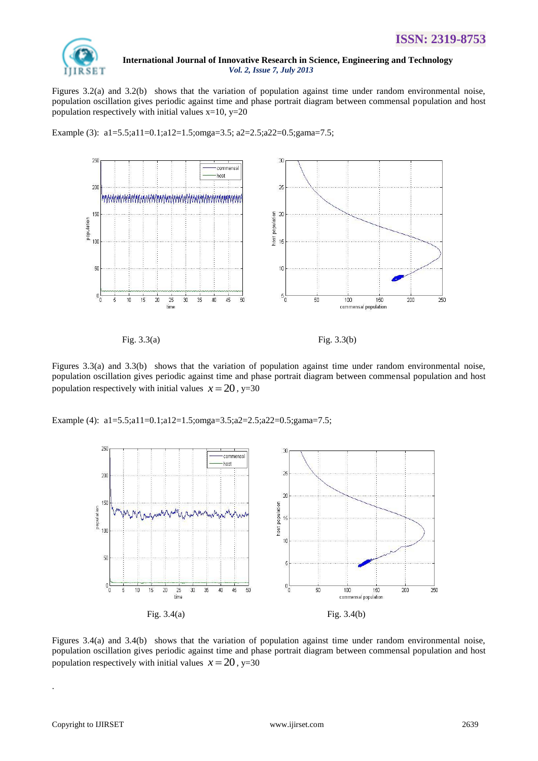

Figures 3.2(a) and 3.2(b) shows that the variation of population against time under random environmental noise, population oscillation gives periodic against time and phase portrait diagram between commensal population and host population respectively with initial values  $x=10$ ,  $y=20$ 

Example (3): a1=5.5;a11=0.1;a12=1.5;omga=3.5; a2=2.5;a22=0.5;gama=7.5;



Fig. 3.3(a) Fig. 3.3(b)

Figures 3.3(a) and 3.3(b) shows that the variation of population against time under random environmental noise, population oscillation gives periodic against time and phase portrait diagram between commensal population and host population respectively with initial values  $x = 20$ , y=30

Example (4): a1=5.5;a11=0.1;a12=1.5;omga=3.5;a2=2.5;a22=0.5;gama=7.5;



Figures 3.4(a) and 3.4(b) shows that the variation of population against time under random environmental noise, population oscillation gives periodic against time and phase portrait diagram between commensal population and host population respectively with initial values  $x = 20$ , y=30

.